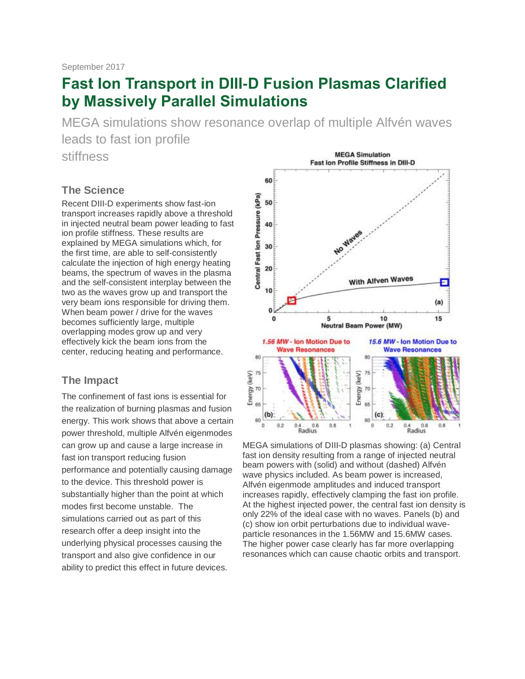# **Fast Ion Transport in DIII-D Fusion Plasmas Clarified by Massively Parallel Simulations**

MEGA simulations show resonance overlap of multiple Alfvén waves leads to fast ion profile

stiffness

#### **The Science**

Recent DIII-D experiments show fast-ion transport increases rapidly above a threshold in injected neutral beam power leading to fast ion profile stiffness. These results are explained by MEGA simulations which, for the first time, are able to self-consistently calculate the injection of high energy heating beams, the spectrum of waves in the plasma and the self-consistent interplay between the two as the waves grow up and transport the very beam ions responsible for driving them. When beam power / drive for the waves becomes sufficiently large, multiple overlapping modes grow up and very effectively kick the beam ions from the center, reducing heating and performance.

#### **The Impact**

The confinement of fast ions is essential for the realization of burning plasmas and fusion energy. This work shows that above a certain power threshold, multiple Alfvén eigenmodes can grow up and cause a large increase in fast ion transport reducing fusion performance and potentially causing damage to the device. This threshold power is substantially higher than the point at which modes first become unstable. The simulations carried out as part of this research offer a deep insight into the underlying physical processes causing the transport and also give confidence in our ability to predict this effect in future devices.



MEGA simulations of DIII-D plasmas showing: (a) Central fast ion density resulting from a range of injected neutral beam powers with (solid) and without (dashed) Alfvén wave physics included. As beam power is increased, Alfvén eigenmode amplitudes and induced transport increases rapidly, effectively clamping the fast ion profile. At the highest injected power, the central fast ion density is only 22% of the ideal case with no waves. Panels (b) and (c) show ion orbit perturbations due to individual waveparticle resonances in the 1.56MW and 15.6MW cases. The higher power case clearly has far more overlapping resonances which can cause chaotic orbits and transport.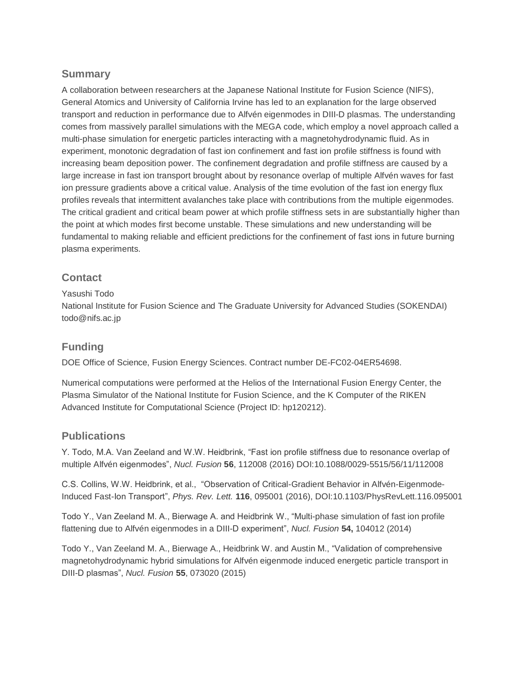## **Summary**

A collaboration between researchers at the Japanese National Institute for Fusion Science (NIFS), General Atomics and University of California Irvine has led to an explanation for the large observed transport and reduction in performance due to Alfvén eigenmodes in DIII-D plasmas. The understanding comes from massively parallel simulations with the MEGA code, which employ a novel approach called a multi-phase simulation for energetic particles interacting with a magnetohydrodynamic fluid. As in experiment, monotonic degradation of fast ion confinement and fast ion profile stiffness is found with increasing beam deposition power. The confinement degradation and profile stiffness are caused by a large increase in fast ion transport brought about by resonance overlap of multiple Alfvén waves for fast ion pressure gradients above a critical value. Analysis of the time evolution of the fast ion energy flux profiles reveals that intermittent avalanches take place with contributions from the multiple eigenmodes. The critical gradient and critical beam power at which profile stiffness sets in are substantially higher than the point at which modes first become unstable. These simulations and new understanding will be fundamental to making reliable and efficient predictions for the confinement of fast ions in future burning plasma experiments.

## **Contact**

#### Yasushi Todo

National Institute for Fusion Science and The Graduate University for Advanced Studies (SOKENDAI) todo@nifs.ac.jp

## **Funding**

DOE Office of Science, Fusion Energy Sciences. Contract number DE-FC02-04ER54698.

Numerical computations were performed at the Helios of the International Fusion Energy Center, the Plasma Simulator of the National Institute for Fusion Science, and the K Computer of the RIKEN Advanced Institute for Computational Science (Project ID: hp120212).

#### **Publications**

Y. Todo, M.A. Van Zeeland and W.W. Heidbrink, "Fast ion profile stiffness due to resonance overlap of multiple Alfvén eigenmodes", *Nucl. Fusion* **56**, 112008 (2016) DOI:10.1088/0029-5515/56/11/112008

C.S. Collins, W.W. Heidbrink, et al., "Observation of Critical-Gradient Behavior in Alfvén-Eigenmode-Induced Fast-Ion Transport", *Phys. Rev. Lett.* **116**, 095001 (2016), DOI:10.1103/PhysRevLett.116.095001

Todo Y., Van Zeeland M. A., Bierwage A. and Heidbrink W., "Multi-phase simulation of fast ion profile flattening due to Alfvén eigenmodes in a DIII-D experiment", *Nucl. Fusion* **54,** 104012 (2014)

Todo Y., Van Zeeland M. A., Bierwage A., Heidbrink W. and Austin M., "Validation of comprehensive magnetohydrodynamic hybrid simulations for Alfvén eigenmode induced energetic particle transport in DIII-D plasmas", *Nucl. Fusion* **55**, 073020 (2015)